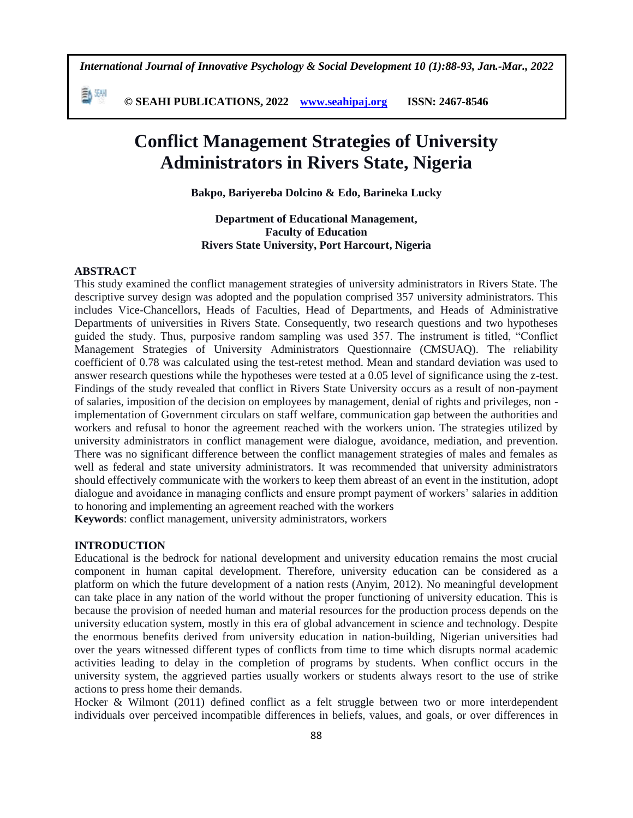*International Journal of Innovative Psychology & Social Development 10 (1):88-93, Jan.-Mar., 2022*

 **© SEAHI PUBLICATIONS, 2022 [www.seahipaj.org](http://www.seahipaj.org/) ISSN: 2467-8546**

# **Conflict Management Strategies of University Administrators in Rivers State, Nigeria**

**Bakpo, Bariyereba Dolcino & Edo, Barineka Lucky**

**Department of Educational Management, Faculty of Education Rivers State University, Port Harcourt, Nigeria**

#### **ABSTRACT**

副洲

This study examined the conflict management strategies of university administrators in Rivers State. The descriptive survey design was adopted and the population comprised 357 university administrators. This includes Vice-Chancellors, Heads of Faculties, Head of Departments, and Heads of Administrative Departments of universities in Rivers State. Consequently, two research questions and two hypotheses guided the study. Thus, purposive random sampling was used 357. The instrument is titled, "Conflict Management Strategies of University Administrators Questionnaire (CMSUAQ). The reliability coefficient of 0.78 was calculated using the test-retest method. Mean and standard deviation was used to answer research questions while the hypotheses were tested at a 0.05 level of significance using the z-test. Findings of the study revealed that conflict in Rivers State University occurs as a result of non-payment of salaries, imposition of the decision on employees by management, denial of rights and privileges, non implementation of Government circulars on staff welfare, communication gap between the authorities and workers and refusal to honor the agreement reached with the workers union. The strategies utilized by university administrators in conflict management were dialogue, avoidance, mediation, and prevention. There was no significant difference between the conflict management strategies of males and females as well as federal and state university administrators. It was recommended that university administrators should effectively communicate with the workers to keep them abreast of an event in the institution, adopt dialogue and avoidance in managing conflicts and ensure prompt payment of workers' salaries in addition to honoring and implementing an agreement reached with the workers

**Keywords**: conflict management, university administrators, workers

# **INTRODUCTION**

Educational is the bedrock for national development and university education remains the most crucial component in human capital development. Therefore, university education can be considered as a platform on which the future development of a nation rests (Anyim, 2012). No meaningful development can take place in any nation of the world without the proper functioning of university education. This is because the provision of needed human and material resources for the production process depends on the university education system, mostly in this era of global advancement in science and technology. Despite the enormous benefits derived from university education in nation-building, Nigerian universities had over the years witnessed different types of conflicts from time to time which disrupts normal academic activities leading to delay in the completion of programs by students. When conflict occurs in the university system, the aggrieved parties usually workers or students always resort to the use of strike actions to press home their demands.

Hocker & Wilmont (2011) defined conflict as a felt struggle between two or more interdependent individuals over perceived incompatible differences in beliefs, values, and goals, or over differences in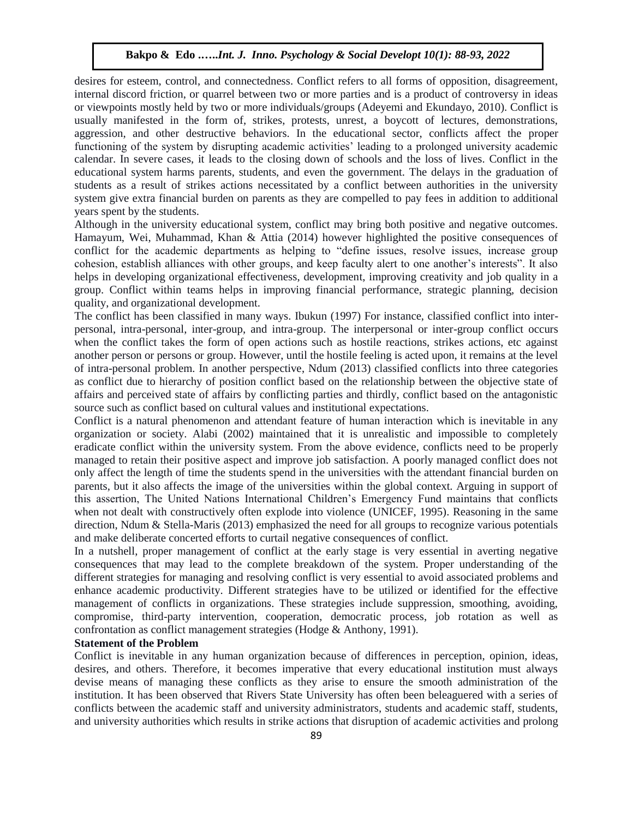desires for esteem, control, and connectedness. Conflict refers to all forms of opposition, disagreement, internal discord friction, or quarrel between two or more parties and is a product of controversy in ideas or viewpoints mostly held by two or more individuals/groups (Adeyemi and Ekundayo, 2010). Conflict is usually manifested in the form of, strikes, protests, unrest, a boycott of lectures, demonstrations, aggression, and other destructive behaviors. In the educational sector, conflicts affect the proper functioning of the system by disrupting academic activities' leading to a prolonged university academic calendar. In severe cases, it leads to the closing down of schools and the loss of lives. Conflict in the educational system harms parents, students, and even the government. The delays in the graduation of students as a result of strikes actions necessitated by a conflict between authorities in the university system give extra financial burden on parents as they are compelled to pay fees in addition to additional years spent by the students.

Although in the university educational system, conflict may bring both positive and negative outcomes. Hamayum, Wei, Muhammad, Khan & Attia (2014) however highlighted the positive consequences of conflict for the academic departments as helping to "define issues, resolve issues, increase group cohesion, establish alliances with other groups, and keep faculty alert to one another's interests". It also helps in developing organizational effectiveness, development, improving creativity and job quality in a group. Conflict within teams helps in improving financial performance, strategic planning, decision quality, and organizational development.

The conflict has been classified in many ways. Ibukun (1997) For instance, classified conflict into interpersonal, intra-personal, inter-group, and intra-group. The interpersonal or inter-group conflict occurs when the conflict takes the form of open actions such as hostile reactions, strikes actions, etc against another person or persons or group. However, until the hostile feeling is acted upon, it remains at the level of intra-personal problem. In another perspective, Ndum (2013) classified conflicts into three categories as conflict due to hierarchy of position conflict based on the relationship between the objective state of affairs and perceived state of affairs by conflicting parties and thirdly, conflict based on the antagonistic source such as conflict based on cultural values and institutional expectations.

Conflict is a natural phenomenon and attendant feature of human interaction which is inevitable in any organization or society. Alabi (2002) maintained that it is unrealistic and impossible to completely eradicate conflict within the university system. From the above evidence, conflicts need to be properly managed to retain their positive aspect and improve job satisfaction. A poorly managed conflict does not only affect the length of time the students spend in the universities with the attendant financial burden on parents, but it also affects the image of the universities within the global context. Arguing in support of this assertion, The United Nations International Children's Emergency Fund maintains that conflicts when not dealt with constructively often explode into violence (UNICEF, 1995). Reasoning in the same direction, Ndum & Stella-Maris (2013) emphasized the need for all groups to recognize various potentials and make deliberate concerted efforts to curtail negative consequences of conflict.

In a nutshell, proper management of conflict at the early stage is very essential in averting negative consequences that may lead to the complete breakdown of the system. Proper understanding of the different strategies for managing and resolving conflict is very essential to avoid associated problems and enhance academic productivity. Different strategies have to be utilized or identified for the effective management of conflicts in organizations. These strategies include suppression, smoothing, avoiding, compromise, third-party intervention, cooperation, democratic process, job rotation as well as confrontation as conflict management strategies (Hodge & Anthony, 1991).

#### **Statement of the Problem**

Conflict is inevitable in any human organization because of differences in perception, opinion, ideas, desires, and others. Therefore, it becomes imperative that every educational institution must always devise means of managing these conflicts as they arise to ensure the smooth administration of the institution. It has been observed that Rivers State University has often been beleaguered with a series of conflicts between the academic staff and university administrators, students and academic staff, students, and university authorities which results in strike actions that disruption of academic activities and prolong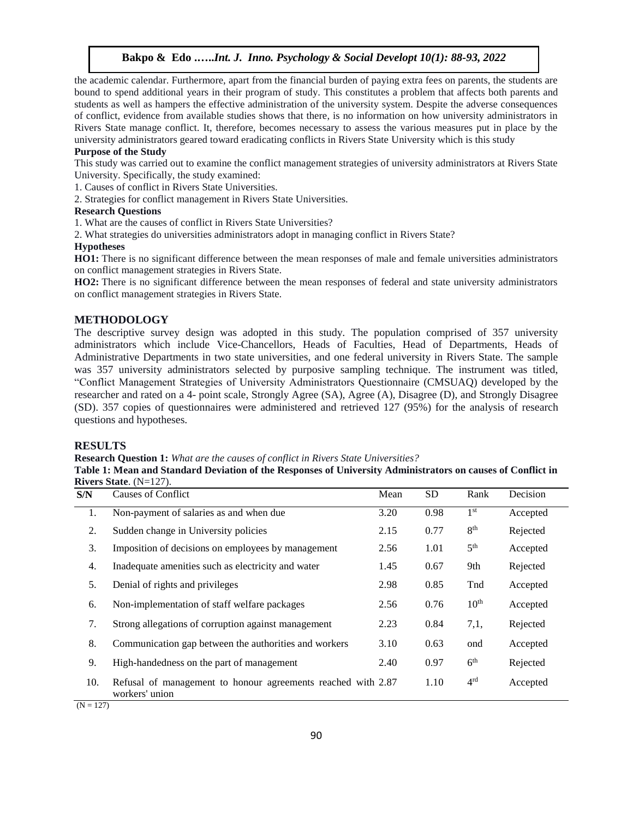the academic calendar. Furthermore, apart from the financial burden of paying extra fees on parents, the students are bound to spend additional years in their program of study. This constitutes a problem that affects both parents and students as well as hampers the effective administration of the university system. Despite the adverse consequences of conflict, evidence from available studies shows that there, is no information on how university administrators in Rivers State manage conflict. It, therefore, becomes necessary to assess the various measures put in place by the university administrators geared toward eradicating conflicts in Rivers State University which is this study

#### **Purpose of the Study**

This study was carried out to examine the conflict management strategies of university administrators at Rivers State University. Specifically, the study examined:

1. Causes of conflict in Rivers State Universities.

2. Strategies for conflict management in Rivers State Universities.

#### **Research Questions**

1. What are the causes of conflict in Rivers State Universities?

2. What strategies do universities administrators adopt in managing conflict in Rivers State?

# **Hypotheses**

**HO1:** There is no significant difference between the mean responses of male and female universities administrators on conflict management strategies in Rivers State.

**HO2:** There is no significant difference between the mean responses of federal and state university administrators on conflict management strategies in Rivers State.

#### **METHODOLOGY**

The descriptive survey design was adopted in this study. The population comprised of 357 university administrators which include Vice-Chancellors, Heads of Faculties, Head of Departments, Heads of Administrative Departments in two state universities, and one federal university in Rivers State. The sample was 357 university administrators selected by purposive sampling technique. The instrument was titled, "Conflict Management Strategies of University Administrators Questionnaire (CMSUAQ) developed by the researcher and rated on a 4- point scale, Strongly Agree (SA), Agree (A), Disagree (D), and Strongly Disagree (SD). 357 copies of questionnaires were administered and retrieved 127 (95%) for the analysis of research questions and hypotheses.

# **RESULTS**

# **Research Question 1:** *What are the causes of conflict in Rivers State Universities?*

**Table 1: Mean and Standard Deviation of the Responses of University Administrators on causes of Conflict in Rivers State**. (N=127).

| S/N | <b>Causes of Conflict</b>                                                      | Mean | <b>SD</b> | Rank             | Decision |
|-----|--------------------------------------------------------------------------------|------|-----------|------------------|----------|
| 1.  | Non-payment of salaries as and when due                                        | 3.20 | 0.98      | 1 <sup>st</sup>  | Accepted |
| 2.  | Sudden change in University policies                                           | 2.15 | 0.77      | 8 <sup>th</sup>  | Rejected |
| 3.  | Imposition of decisions on employees by management                             | 2.56 | 1.01      | 5 <sup>th</sup>  | Accepted |
| 4.  | Inadequate amenities such as electricity and water                             | 1.45 | 0.67      | 9th              | Rejected |
| 5.  | Denial of rights and privileges                                                | 2.98 | 0.85      | Tnd              | Accepted |
| 6.  | Non-implementation of staff welfare packages                                   | 2.56 | 0.76      | 10 <sup>th</sup> | Accepted |
| 7.  | Strong allegations of corruption against management                            | 2.23 | 0.84      | 7,1,             | Rejected |
| 8.  | Communication gap between the authorities and workers                          | 3.10 | 0.63      | ond              | Accepted |
| 9.  | High-handedness on the part of management                                      | 2.40 | 0.97      | 6 <sup>th</sup>  | Rejected |
| 10. | Refusal of management to honour agreements reached with 2.87<br>workers' union |      | 1.10      | 4 <sup>rd</sup>  | Accepted |

 $(N = 127)$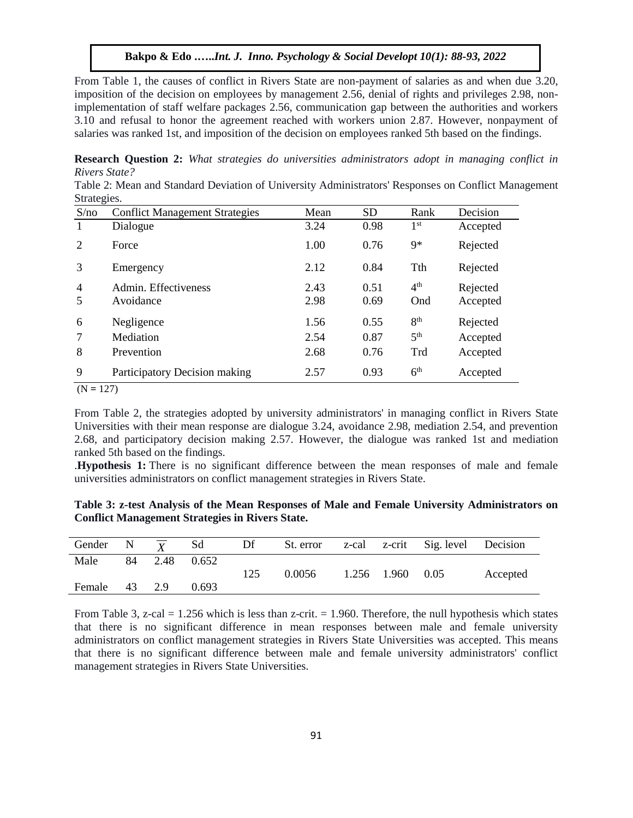From Table 1, the causes of conflict in Rivers State are non-payment of salaries as and when due 3.20, imposition of the decision on employees by management 2.56, denial of rights and privileges 2.98, nonimplementation of staff welfare packages 2.56, communication gap between the authorities and workers 3.10 and refusal to honor the agreement reached with workers union 2.87. However, nonpayment of salaries was ranked 1st, and imposition of the decision on employees ranked 5th based on the findings.

**Research Question 2:** *What strategies do universities administrators adopt in managing conflict in Rivers State?*

Table 2: Mean and Standard Deviation of University Administrators' Responses on Conflict Management Strategies.

| S/no           | <b>Conflict Management Strategies</b> | Mean | <b>SD</b> | Rank            | Decision |
|----------------|---------------------------------------|------|-----------|-----------------|----------|
| -1             | Dialogue                              | 3.24 | 0.98      | 1 <sup>st</sup> | Accepted |
| 2              | Force                                 | 1.00 | 0.76      | $9*$            | Rejected |
| 3              | Emergency                             | 2.12 | 0.84      | <b>Tth</b>      | Rejected |
| $\overline{4}$ | Admin. Effectiveness                  | 2.43 | 0.51      | 4 <sup>th</sup> | Rejected |
| .5             | Avoidance                             | 2.98 | 0.69      | Ond             | Accepted |
| 6              | Negligence                            | 1.56 | 0.55      | 8 <sup>th</sup> | Rejected |
| 7              | Mediation                             | 2.54 | 0.87      | 5 <sup>th</sup> | Accepted |
| 8              | Prevention                            | 2.68 | 0.76      | Trd             | Accepted |
| 9              | Participatory Decision making         | 2.57 | 0.93      | 6 <sup>th</sup> | Accepted |

 $(N = 127)$ 

From Table 2, the strategies adopted by university administrators' in managing conflict in Rivers State Universities with their mean response are dialogue 3.24, avoidance 2.98, mediation 2.54, and prevention 2.68, and participatory decision making 2.57. However, the dialogue was ranked 1st and mediation ranked 5th based on the findings.

.**Hypothesis 1:** There is no significant difference between the mean responses of male and female universities administrators on conflict management strategies in Rivers State.

| Table 3: z-test Analysis of the Mean Responses of Male and Female University Administrators on |  |  |
|------------------------------------------------------------------------------------------------|--|--|
| <b>Conflict Management Strategies in Rivers State.</b>                                         |  |  |

| Gender N $\overline{Y}$ |    |      | Sd    | Df  |        |                  | St. error z-cal z-crit Sig. level Decision |          |
|-------------------------|----|------|-------|-----|--------|------------------|--------------------------------------------|----------|
| Male                    | 84 | 2.48 | 0.652 | 125 | 0.0056 | 1.256 1.960 0.05 |                                            | Accepted |
| Female                  | 43 | 2.9  | 0.693 |     |        |                  |                                            |          |

From Table 3, z-cal  $= 1.256$  which is less than z-crit.  $= 1.960$ . Therefore, the null hypothesis which states that there is no significant difference in mean responses between male and female university administrators on conflict management strategies in Rivers State Universities was accepted. This means that there is no significant difference between male and female university administrators' conflict management strategies in Rivers State Universities.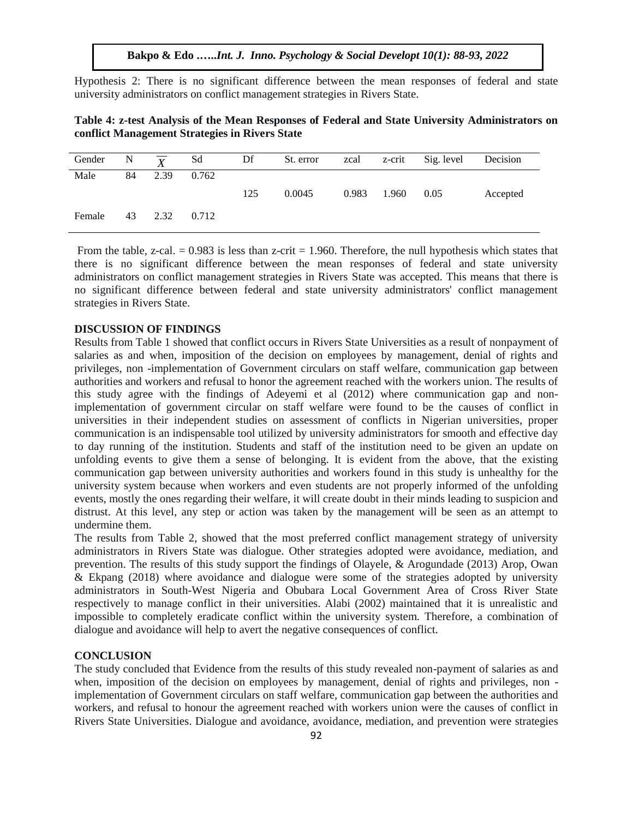Hypothesis 2: There is no significant difference between the mean responses of federal and state university administrators on conflict management strategies in Rivers State.

| Table 4: z-test Analysis of the Mean Responses of Federal and State University Administrators on |  |  |  |
|--------------------------------------------------------------------------------------------------|--|--|--|
| conflict Management Strategies in Rivers State                                                   |  |  |  |

| Gender N |    | $\mathbf{v}$ | Sd    | Df  | St. error | zcal  |       | z-crit Sig. level | Decision |
|----------|----|--------------|-------|-----|-----------|-------|-------|-------------------|----------|
| Male     | 84 | 2.39         | 0.762 |     |           |       |       |                   |          |
|          |    |              |       | 125 | 0.0045    | 0.983 | 1.960 | 0.05              | Accepted |
| Female   | 43 | 2.32         | 0.712 |     |           |       |       |                   |          |

From the table, z-cal.  $= 0.983$  is less than z-crit  $= 1.960$ . Therefore, the null hypothesis which states that there is no significant difference between the mean responses of federal and state university administrators on conflict management strategies in Rivers State was accepted. This means that there is no significant difference between federal and state university administrators' conflict management strategies in Rivers State.

# **DISCUSSION OF FINDINGS**

Results from Table 1 showed that conflict occurs in Rivers State Universities as a result of nonpayment of salaries as and when, imposition of the decision on employees by management, denial of rights and privileges, non -implementation of Government circulars on staff welfare, communication gap between authorities and workers and refusal to honor the agreement reached with the workers union. The results of this study agree with the findings of Adeyemi et al (2012) where communication gap and nonimplementation of government circular on staff welfare were found to be the causes of conflict in universities in their independent studies on assessment of conflicts in Nigerian universities, proper communication is an indispensable tool utilized by university administrators for smooth and effective day to day running of the institution. Students and staff of the institution need to be given an update on unfolding events to give them a sense of belonging. It is evident from the above, that the existing communication gap between university authorities and workers found in this study is unhealthy for the university system because when workers and even students are not properly informed of the unfolding events, mostly the ones regarding their welfare, it will create doubt in their minds leading to suspicion and distrust. At this level, any step or action was taken by the management will be seen as an attempt to undermine them.

The results from Table 2, showed that the most preferred conflict management strategy of university administrators in Rivers State was dialogue. Other strategies adopted were avoidance, mediation, and prevention. The results of this study support the findings of Olayele, & Arogundade (2013) Arop, Owan & Ekpang (2018) where avoidance and dialogue were some of the strategies adopted by university administrators in South-West Nigeria and Obubara Local Government Area of Cross River State respectively to manage conflict in their universities. Alabi (2002) maintained that it is unrealistic and impossible to completely eradicate conflict within the university system. Therefore, a combination of dialogue and avoidance will help to avert the negative consequences of conflict.

#### **CONCLUSION**

The study concluded that Evidence from the results of this study revealed non-payment of salaries as and when, imposition of the decision on employees by management, denial of rights and privileges, non implementation of Government circulars on staff welfare, communication gap between the authorities and workers, and refusal to honour the agreement reached with workers union were the causes of conflict in Rivers State Universities. Dialogue and avoidance, avoidance, mediation, and prevention were strategies